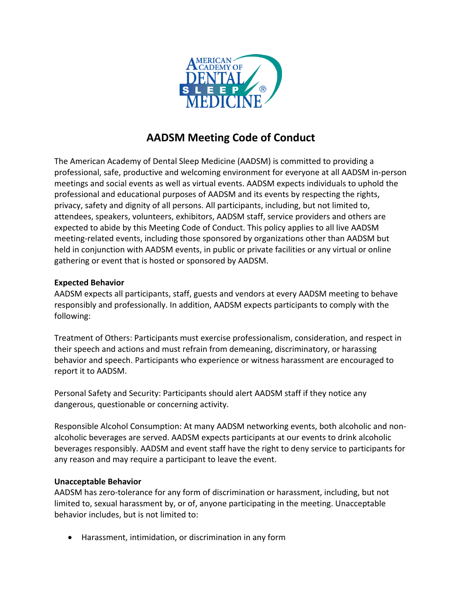

# **AADSM Meeting Code of Conduct**

The American Academy of Dental Sleep Medicine (AADSM) is committed to providing a professional, safe, productive and welcoming environment for everyone at all AADSM in-person meetings and social events as well as virtual events. AADSM expects individuals to uphold the professional and educational purposes of AADSM and its events by respecting the rights, privacy, safety and dignity of all persons. All participants, including, but not limited to, attendees, speakers, volunteers, exhibitors, AADSM staff, service providers and others are expected to abide by this Meeting Code of Conduct. This policy applies to all live AADSM meeting-related events, including those sponsored by organizations other than AADSM but held in conjunction with AADSM events, in public or private facilities or any virtual or online gathering or event that is hosted or sponsored by AADSM.

## **Expected Behavior**

AADSM expects all participants, staff, guests and vendors at every AADSM meeting to behave responsibly and professionally. In addition, AADSM expects participants to comply with the following:

Treatment of Others: Participants must exercise professionalism, consideration, and respect in their speech and actions and must refrain from demeaning, discriminatory, or harassing behavior and speech. Participants who experience or witness harassment are encouraged to report it to AADSM.

Personal Safety and Security: Participants should alert AADSM staff if they notice any dangerous, questionable or concerning activity.

Responsible Alcohol Consumption: At many AADSM networking events, both alcoholic and nonalcoholic beverages are served. AADSM expects participants at our events to drink alcoholic beverages responsibly. AADSM and event staff have the right to deny service to participants for any reason and may require a participant to leave the event.

## **Unacceptable Behavior**

AADSM has zero-tolerance for any form of discrimination or harassment, including, but not limited to, sexual harassment by, or of, anyone participating in the meeting. Unacceptable behavior includes, but is not limited to:

• Harassment, intimidation, or discrimination in any form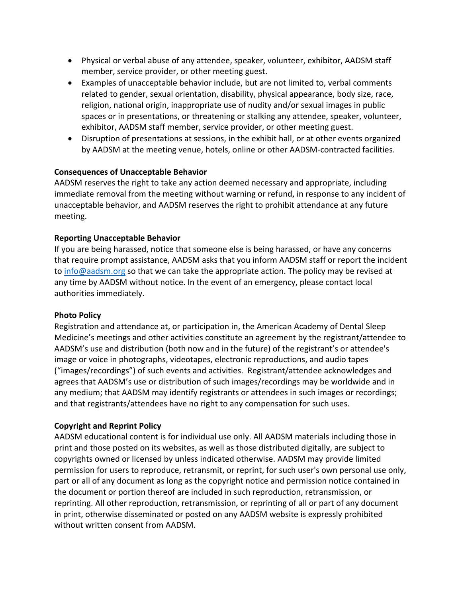- Physical or verbal abuse of any attendee, speaker, volunteer, exhibitor, AADSM staff member, service provider, or other meeting guest.
- Examples of unacceptable behavior include, but are not limited to, verbal comments related to gender, sexual orientation, disability, physical appearance, body size, race, religion, national origin, inappropriate use of nudity and/or sexual images in public spaces or in presentations, or threatening or stalking any attendee, speaker, volunteer, exhibitor, AADSM staff member, service provider, or other meeting guest.
- Disruption of presentations at sessions, in the exhibit hall, or at other events organized by AADSM at the meeting venue, hotels, online or other AADSM-contracted facilities.

## **Consequences of Unacceptable Behavior**

AADSM reserves the right to take any action deemed necessary and appropriate, including immediate removal from the meeting without warning or refund, in response to any incident of unacceptable behavior, and AADSM reserves the right to prohibit attendance at any future meeting.

#### **Reporting Unacceptable Behavior**

If you are being harassed, notice that someone else is being harassed, or have any concerns that require prompt assistance, AADSM asks that you inform AADSM staff or report the incident to [info@aadsm.org](mailto:info@aadsm.org) so that we can take the appropriate action. The policy may be revised at any time by AADSM without notice. In the event of an emergency, please contact local authorities immediately.

#### **Photo Policy**

Registration and attendance at, or participation in, the American Academy of Dental Sleep Medicine's meetings and other activities constitute an agreement by the registrant/attendee to AADSM's use and distribution (both now and in the future) of the registrant's or attendee's image or voice in photographs, videotapes, electronic reproductions, and audio tapes ("images/recordings") of such events and activities. Registrant/attendee acknowledges and agrees that AADSM's use or distribution of such images/recordings may be worldwide and in any medium; that AADSM may identify registrants or attendees in such images or recordings; and that registrants/attendees have no right to any compensation for such uses.

## **Copyright and Reprint Policy**

AADSM educational content is for individual use only. All AADSM materials including those in print and those posted on its websites, as well as those distributed digitally, are subject to copyrights owned or licensed by unless indicated otherwise. AADSM may provide limited permission for users to reproduce, retransmit, or reprint, for such user's own personal use only, part or all of any document as long as the copyright notice and permission notice contained in the document or portion thereof are included in such reproduction, retransmission, or reprinting. All other reproduction, retransmission, or reprinting of all or part of any document in print, otherwise disseminated or posted on any AADSM website is expressly prohibited without written consent from AADSM.